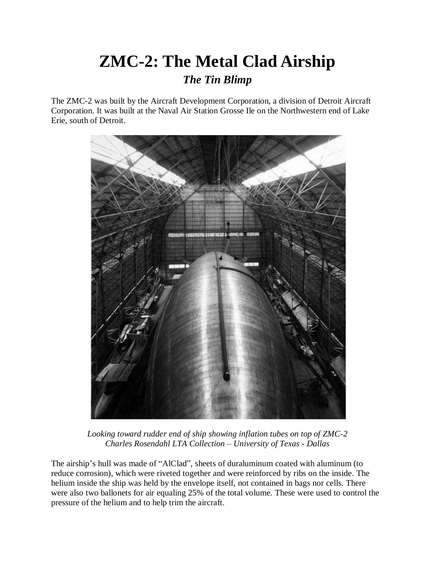## **ZMC-2: The Metal Clad Airship** *The Tin Blimp*

The ZMC-2 was built by the Aircraft Development Corporation, a division of Detroit Aircraft Corporation. It was built at the Naval Air Station Grosse Ile on the Northwestern end of Lake Erie, south of Detroit.



*Looking toward rudder end of ship showing inflation tubes on top of ZMC-2 Charles Rosendahl LTA Collection – University of Texas - Dallas*

The airship's hull was made of "AlClad", sheets of duraluminum coated with aluminum (to reduce corrosion), which were riveted together and were reinforced by ribs on the inside. The helium inside the ship was held by the envelope itself, not contained in bags nor cells. There were also two ballonets for air equaling 25% of the total volume. These were used to control the pressure of the helium and to help trim the aircraft.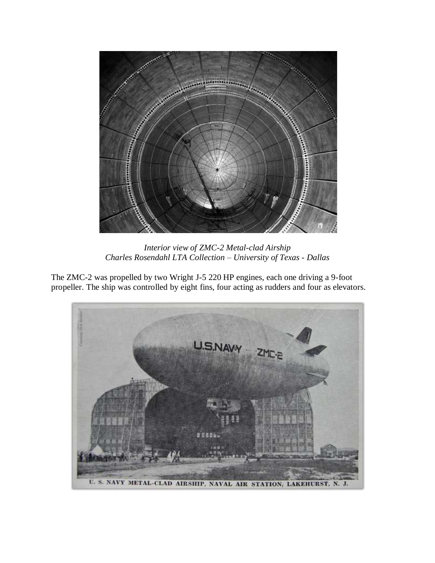

*Interior view of ZMC-2 Metal-clad Airship Charles Rosendahl LTA Collection – University of Texas - Dallas*

The ZMC-2 was propelled by two Wright J-5 220 HP engines, each one driving a 9-foot propeller. The ship was controlled by eight fins, four acting as rudders and four as elevators.

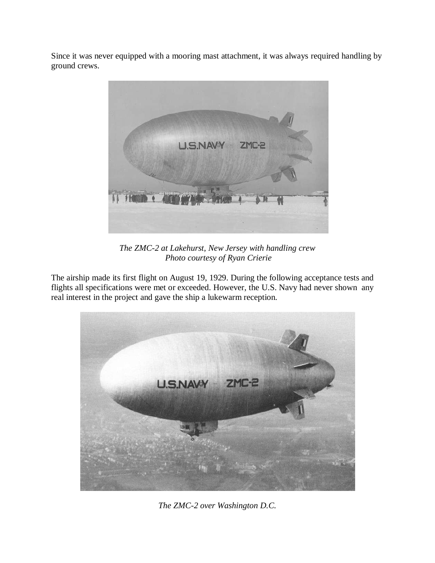Since it was never equipped with a mooring mast attachment, it was always required handling by ground crews.



*The ZMC-2 at Lakehurst, New Jersey with handling crew Photo courtesy of Ryan Crierie*

The airship made its first flight on August 19, 1929. During the following acceptance tests and flights all specifications were met or exceeded. However, the U.S. Navy had never shown any real interest in the project and gave the ship a lukewarm reception.



*The ZMC-2 over Washington D.C.*